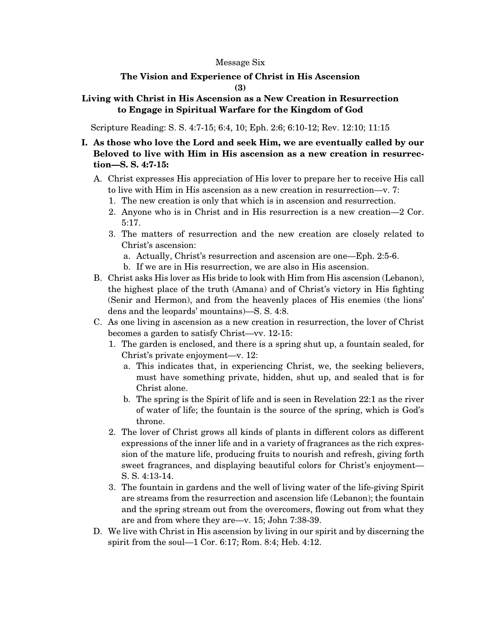#### Message Six

### **The Vision and Experience of Christ in His Ascension (3)**

### **Living with Christ in His Ascension as a New Creation in Resurrection to Engage in Spiritual Warfare for the Kingdom of God**

Scripture Reading: S. S. 4:7-15; 6:4, 10; Eph. 2:6; 6:10-12; Rev. 12:10; 11:15

## **I. As those who love the Lord and seek Him, we are eventually called by our Beloved to live with Him in His ascension as a new creation in resurrection—S. S. 4:7-15:**

- A. Christ expresses His appreciation of His lover to prepare her to receive His call to live with Him in His ascension as a new creation in resurrection—v. 7:
	- 1. The new creation is only that which is in ascension and resurrection.
	- 2. Anyone who is in Christ and in His resurrection is a new creation—2 Cor. 5:17.
	- 3. The matters of resurrection and the new creation are closely related to Christ's ascension:
		- a. Actually, Christ's resurrection and ascension are one—Eph. 2:5-6.
		- b. If we are in His resurrection, we are also in His ascension.
- B. Christ asks His lover as His bride to look with Him from His ascension (Lebanon), the highest place of the truth (Amana) and of Christ's victory in His fighting (Senir and Hermon), and from the heavenly places of His enemies (the lions' dens and the leopards' mountains)—S. S. 4:8.
- C. As one living in ascension as a new creation in resurrection, the lover of Christ becomes a garden to satisfy Christ—vv. 12-15:
	- 1. The garden is enclosed, and there is a spring shut up, a fountain sealed, for Christ's private enjoyment—v. 12:
		- a. This indicates that, in experiencing Christ, we, the seeking believers, must have something private, hidden, shut up, and sealed that is for Christ alone.
		- b. The spring is the Spirit of life and is seen in Revelation 22:1 as the river of water of life; the fountain is the source of the spring, which is God's throne.
	- 2. The lover of Christ grows all kinds of plants in different colors as different expressions of the inner life and in a variety of fragrances as the rich expression of the mature life, producing fruits to nourish and refresh, giving forth sweet fragrances, and displaying beautiful colors for Christ's enjoyment— S. S. 4:13-14.
	- 3. The fountain in gardens and the well of living water of the life-giving Spirit are streams from the resurrection and ascension life (Lebanon); the fountain and the spring stream out from the overcomers, flowing out from what they are and from where they are—v. 15; John 7:38-39.
- D. We live with Christ in His ascension by living in our spirit and by discerning the spirit from the soul—1 Cor. 6:17; Rom. 8:4; Heb. 4:12.